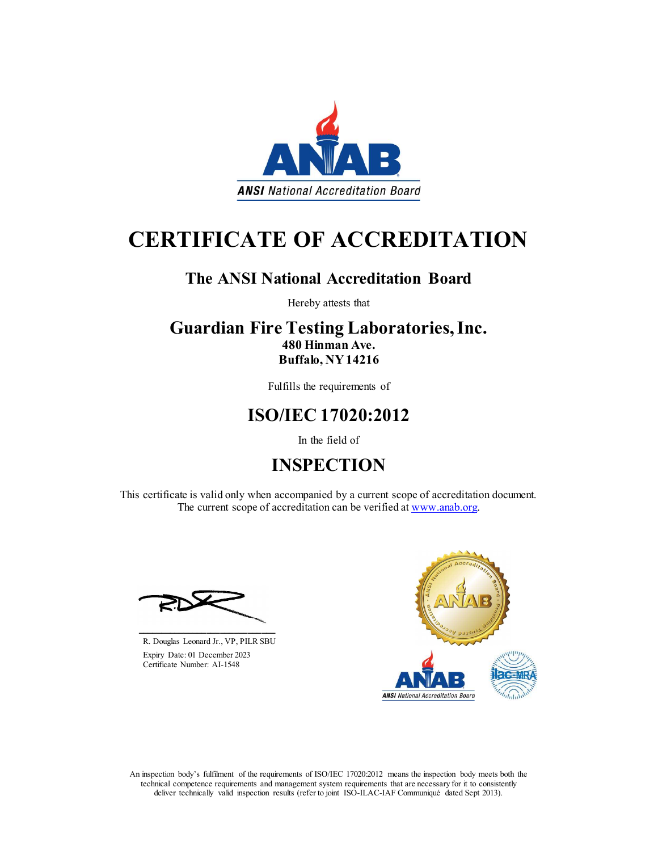

# CERTIFICATE OF ACCREDITATION

### The ANSI National Accreditation Board

Hereby attests that

#### Guardian Fire Testing Laboratories, Inc. 480 Hinman Ave. Buffalo, NY 14216

Fulfills the requirements of

### ISO/IEC 17020:2012

In the field of

## INSPECTION

This certificate is valid only when accompanied by a current scope of accreditation document. The current scope of accreditation can be verified at www.anab.org.

R. Douglas Leonard Jr., VP, PILR SBU Expiry Date: 01 December 2023 Certificate Number: AI-1548

\_\_\_\_\_\_\_\_\_\_\_\_\_\_\_\_\_\_\_\_\_\_\_\_\_\_\_\_\_\_



An inspection body's fulfilment of the requirements of ISO/IEC 17020:2012 means the inspection body meets both the technical competence requirements and management system requirements that are necessary for it to consistently deliver technically valid inspection results (refer to joint ISO-ILAC-IAF Communiqué dated Sept 2013).